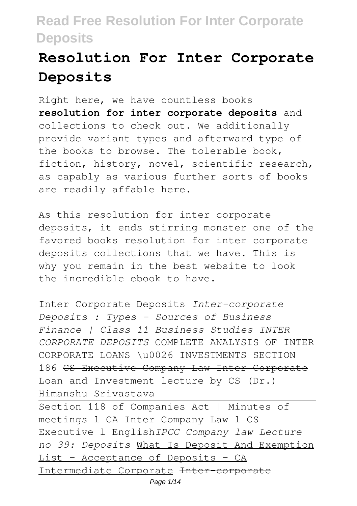# **Resolution For Inter Corporate Deposits**

Right here, we have countless books **resolution for inter corporate deposits** and collections to check out. We additionally provide variant types and afterward type of the books to browse. The tolerable book, fiction, history, novel, scientific research, as capably as various further sorts of books are readily affable here.

As this resolution for inter corporate deposits, it ends stirring monster one of the favored books resolution for inter corporate deposits collections that we have. This is why you remain in the best website to look the incredible ebook to have.

Inter Corporate Deposits *Inter-corporate Deposits : Types - Sources of Business Finance | Class 11 Business Studies INTER CORPORATE DEPOSITS* COMPLETE ANALYSIS OF INTER CORPORATE LOANS \u0026 INVESTMENTS SECTION 186 CS Executive Company Law Inter Corporate Loan and Investment lecture by CS (Dr.) Himanshu Srivastava

Section 118 of Companies Act | Minutes of meetings l CA Inter Company Law l CS Executive l English*IPCC Company law Lecture no 39: Deposits* What Is Deposit And Exemption List - Acceptance of Deposits - CA Intermediate Corporate Inter-corporate Page 1/14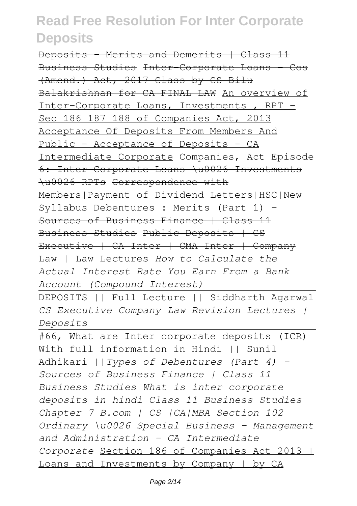Deposits - Merits and Demerits | Class 11 Business Studies Inter-Corporate Loans - Cos (Amend.) Act, 2017 Class by CS Bilu Balakrishnan for CA FINAL LAW An overview of Inter-Corporate Loans, Investments , RPT - Sec 186 187 188 of Companies Act, 2013 Acceptance Of Deposits From Members And Public - Acceptance of Deposits - CA Intermediate Corporate Companies, Act Episode 6: Inter-Corporate Loans \u0026 Investments \u0026 RPTs Correspondence with Members | Payment of Dividend Letters | HSC | New Syllabus Debentures : Merits (Part 1) - Sources of Business Finance | Class 11 Business Studies Public Deposits | CS Executive | CA Inter | CMA Inter | Company Law | Law Lectures *How to Calculate the Actual Interest Rate You Earn From a Bank Account (Compound Interest)*

DEPOSITS || Full Lecture || Siddharth Agarwal *CS Executive Company Law Revision Lectures | Deposits*

#66, What are Inter corporate deposits (ICR) With full information in Hindi || Sunil Adhikari ||*Types of Debentures (Part 4) - Sources of Business Finance | Class 11 Business Studies What is inter corporate deposits in hindi Class 11 Business Studies Chapter 7 B.com | CS |CA|MBA Section 102 Ordinary \u0026 Special Business - Management and Administration - CA Intermediate Corporate* Section 186 of Companies Act 2013 | Loans and Investments by Company | by CA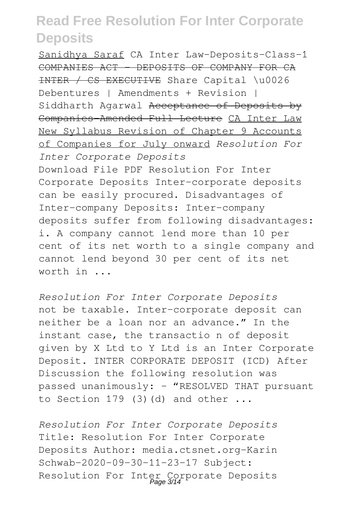Sanidhya Saraf CA Inter Law-Deposits-Class-1 COMPANIES ACT - DEPOSITS OF COMPANY FOR CA INTER / CS EXECUTIVE Share Capital \u0026 Debentures | Amendments + Revision | Siddharth Agarwal Acceptance of Deposits by Companies-Amended Full Lecture CA Inter Law New Syllabus Revision of Chapter 9 Accounts of Companies for July onward *Resolution For Inter Corporate Deposits* Download File PDF Resolution For Inter Corporate Deposits Inter-corporate deposits can be easily procured. Disadvantages of Inter-company Deposits: Inter-company deposits suffer from following disadvantages: i. A company cannot lend more than 10 per cent of its net worth to a single company and cannot lend beyond 30 per cent of its net worth in ...

*Resolution For Inter Corporate Deposits* not be taxable. Inter-corporate deposit can neither be a loan nor an advance." In the instant case, the transactio n of deposit given by X Ltd to Y Ltd is an Inter Corporate Deposit. INTER CORPORATE DEPOSIT (ICD) After Discussion the following resolution was passed unanimously: – "RESOLVED THAT pursuant to Section  $179$  (3)(d) and other  $\ldots$ 

*Resolution For Inter Corporate Deposits* Title: Resolution For Inter Corporate Deposits Author: media.ctsnet.org-Karin Schwab-2020-09-30-11-23-17 Subject: Resolution For Inter Corporate Deposits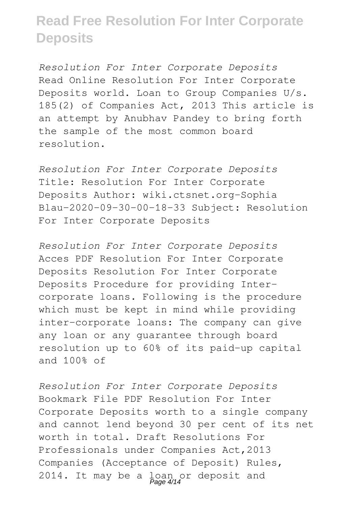*Resolution For Inter Corporate Deposits* Read Online Resolution For Inter Corporate Deposits world. Loan to Group Companies U/s. 185(2) of Companies Act, 2013 This article is an attempt by Anubhav Pandey to bring forth the sample of the most common board resolution.

*Resolution For Inter Corporate Deposits* Title: Resolution For Inter Corporate Deposits Author: wiki.ctsnet.org-Sophia Blau-2020-09-30-00-18-33 Subject: Resolution For Inter Corporate Deposits

*Resolution For Inter Corporate Deposits* Acces PDF Resolution For Inter Corporate Deposits Resolution For Inter Corporate Deposits Procedure for providing Intercorporate loans. Following is the procedure which must be kept in mind while providing inter-corporate loans: The company can give any loan or any guarantee through board resolution up to 60% of its paid-up capital and 100% of

*Resolution For Inter Corporate Deposits* Bookmark File PDF Resolution For Inter Corporate Deposits worth to a single company and cannot lend beyond 30 per cent of its net worth in total. Draft Resolutions For Professionals under Companies Act,2013 Companies (Acceptance of Deposit) Rules, 2014. It may be a loan or deposit and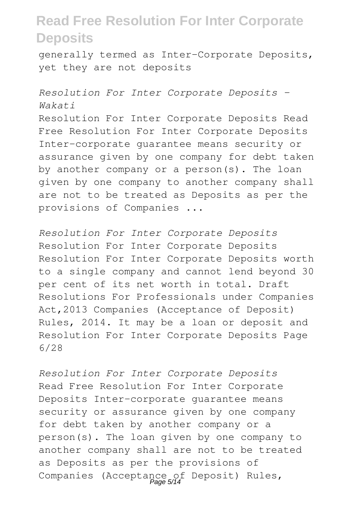generally termed as Inter-Corporate Deposits, yet they are not deposits

*Resolution For Inter Corporate Deposits - Wakati* Resolution For Inter Corporate Deposits Read Free Resolution For Inter Corporate Deposits Inter-corporate guarantee means security or assurance given by one company for debt taken by another company or a person(s). The loan given by one company to another company shall are not to be treated as Deposits as per the provisions of Companies ...

*Resolution For Inter Corporate Deposits* Resolution For Inter Corporate Deposits Resolution For Inter Corporate Deposits worth to a single company and cannot lend beyond 30 per cent of its net worth in total. Draft Resolutions For Professionals under Companies Act,2013 Companies (Acceptance of Deposit) Rules, 2014. It may be a loan or deposit and Resolution For Inter Corporate Deposits Page 6/28

*Resolution For Inter Corporate Deposits* Read Free Resolution For Inter Corporate Deposits Inter-corporate guarantee means security or assurance given by one company for debt taken by another company or a person(s). The loan given by one company to another company shall are not to be treated as Deposits as per the provisions of Companies (Acceptance of Deposit) Rules,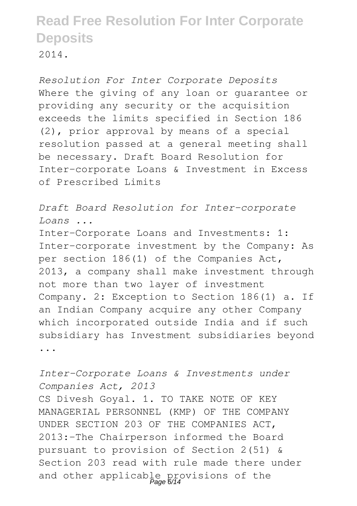2014.

*Resolution For Inter Corporate Deposits* Where the giving of any loan or guarantee or providing any security or the acquisition exceeds the limits specified in Section 186 (2), prior approval by means of a special resolution passed at a general meeting shall be necessary. Draft Board Resolution for Inter-corporate Loans & Investment in Excess of Prescribed Limits

*Draft Board Resolution for Inter-corporate Loans ...*

Inter-Corporate Loans and Investments: 1: Inter-corporate investment by the Company: As per section 186(1) of the Companies Act, 2013, a company shall make investment through not more than two layer of investment Company. 2: Exception to Section 186(1) a. If an Indian Company acquire any other Company which incorporated outside India and if such subsidiary has Investment subsidiaries beyond ...

*Inter-Corporate Loans & Investments under Companies Act, 2013*

CS Divesh Goyal. 1. TO TAKE NOTE OF KEY MANAGERIAL PERSONNEL (KMP) OF THE COMPANY UNDER SECTION 203 OF THE COMPANIES ACT, 2013:-The Chairperson informed the Board pursuant to provision of Section 2(51) & Section 203 read with rule made there under and other applicable provisions of the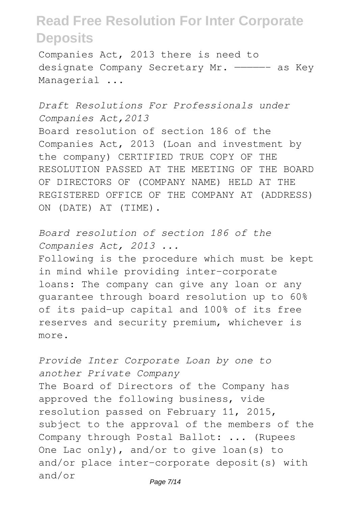Companies Act, 2013 there is need to designate Company Secretary Mr. —————– as Key Managerial ...

*Draft Resolutions For Professionals under Companies Act,2013* Board resolution of section 186 of the Companies Act, 2013 (Loan and investment by the company) CERTIFIED TRUE COPY OF THE RESOLUTION PASSED AT THE MEETING OF THE BOARD OF DIRECTORS OF (COMPANY NAME) HELD AT THE REGISTERED OFFICE OF THE COMPANY AT (ADDRESS) ON (DATE) AT (TIME).

*Board resolution of section 186 of the Companies Act, 2013 ...* Following is the procedure which must be kept in mind while providing inter-corporate loans: The company can give any loan or any guarantee through board resolution up to 60% of its paid-up capital and 100% of its free reserves and security premium, whichever is more.

*Provide Inter Corporate Loan by one to another Private Company* The Board of Directors of the Company has approved the following business, vide resolution passed on February 11, 2015, subject to the approval of the members of the Company through Postal Ballot: ... (Rupees One Lac only), and/or to give loan(s) to and/or place inter-corporate deposit(s) with and/or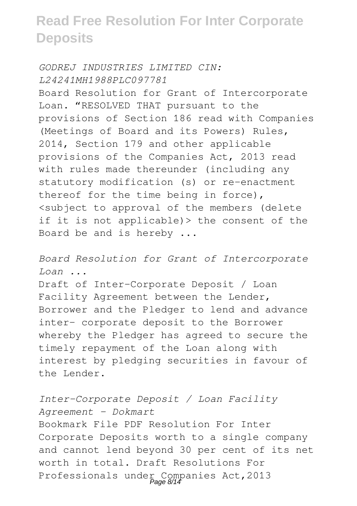*GODREJ INDUSTRIES LIMITED CIN: L24241MH1988PLC097781* Board Resolution for Grant of Intercorporate Loan. "RESOLVED THAT pursuant to the provisions of Section 186 read with Companies (Meetings of Board and its Powers) Rules, 2014, Section 179 and other applicable provisions of the Companies Act, 2013 read with rules made thereunder (including any statutory modification (s) or re-enactment thereof for the time being in force), <subject to approval of the members (delete if it is not applicable)> the consent of the Board be and is hereby ...

*Board Resolution for Grant of Intercorporate Loan ...* Draft of Inter-Corporate Deposit / Loan Facility Agreement between the Lender, Borrower and the Pledger to lend and advance inter- corporate deposit to the Borrower whereby the Pledger has agreed to secure the timely repayment of the Loan along with interest by pledging securities in favour of the Lender.

*Inter-Corporate Deposit / Loan Facility Agreement - Dokmart* Bookmark File PDF Resolution For Inter Corporate Deposits worth to a single company and cannot lend beyond 30 per cent of its net worth in total. Draft Resolutions For Professionals under Companies Act, 2013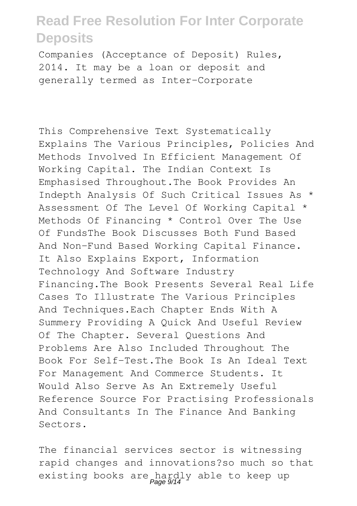Companies (Acceptance of Deposit) Rules, 2014. It may be a loan or deposit and generally termed as Inter-Corporate

This Comprehensive Text Systematically Explains The Various Principles, Policies And Methods Involved In Efficient Management Of Working Capital. The Indian Context Is Emphasised Throughout.The Book Provides An Indepth Analysis Of Such Critical Issues As \* Assessment Of The Level Of Working Capital \* Methods Of Financing \* Control Over The Use Of FundsThe Book Discusses Both Fund Based And Non-Fund Based Working Capital Finance. It Also Explains Export, Information Technology And Software Industry Financing.The Book Presents Several Real Life Cases To Illustrate The Various Principles And Techniques.Each Chapter Ends With A Summery Providing A Quick And Useful Review Of The Chapter. Several Questions And Problems Are Also Included Throughout The Book For Self-Test.The Book Is An Ideal Text For Management And Commerce Students. It Would Also Serve As An Extremely Useful Reference Source For Practising Professionals And Consultants In The Finance And Banking Sectors.

The financial services sector is witnessing rapid changes and innovations?so much so that existing books are hardly able to keep up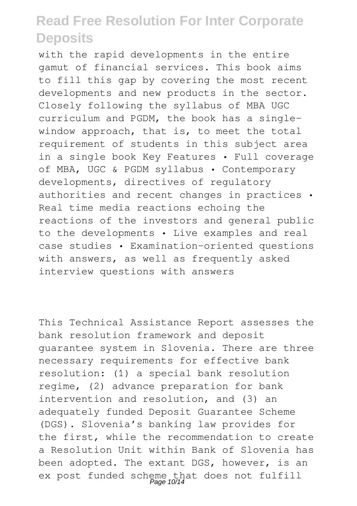with the rapid developments in the entire gamut of financial services. This book aims to fill this gap by covering the most recent developments and new products in the sector. Closely following the syllabus of MBA UGC curriculum and PGDM, the book has a singlewindow approach, that is, to meet the total requirement of students in this subject area in a single book Key Features • Full coverage of MBA, UGC & PGDM syllabus • Contemporary developments, directives of regulatory authorities and recent changes in practices • Real time media reactions echoing the reactions of the investors and general public to the developments • Live examples and real case studies • Examination-oriented questions with answers, as well as frequently asked interview questions with answers

This Technical Assistance Report assesses the bank resolution framework and deposit guarantee system in Slovenia. There are three necessary requirements for effective bank resolution: (1) a special bank resolution regime, (2) advance preparation for bank intervention and resolution, and (3) an adequately funded Deposit Guarantee Scheme (DGS). Slovenia's banking law provides for the first, while the recommendation to create a Resolution Unit within Bank of Slovenia has been adopted. The extant DGS, however, is an ex post funded scheme that does not fulfill<br>
Page 10/14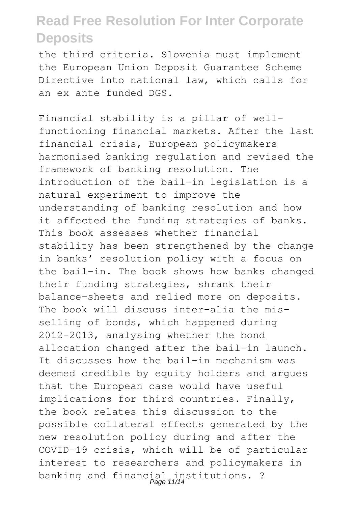the third criteria. Slovenia must implement the European Union Deposit Guarantee Scheme Directive into national law, which calls for an ex ante funded DGS.

Financial stability is a pillar of wellfunctioning financial markets. After the last financial crisis, European policymakers harmonised banking regulation and revised the framework of banking resolution. The introduction of the bail-in legislation is a natural experiment to improve the understanding of banking resolution and how it affected the funding strategies of banks. This book assesses whether financial stability has been strengthened by the change in banks' resolution policy with a focus on the bail-in. The book shows how banks changed their funding strategies, shrank their balance-sheets and relied more on deposits. The book will discuss inter-alia the misselling of bonds, which happened during 2012-2013, analysing whether the bond allocation changed after the bail-in launch. It discusses how the bail-in mechanism was deemed credible by equity holders and argues that the European case would have useful implications for third countries. Finally, the book relates this discussion to the possible collateral effects generated by the new resolution policy during and after the COVID-19 crisis, which will be of particular interest to researchers and policymakers in banking and financial institutions. ?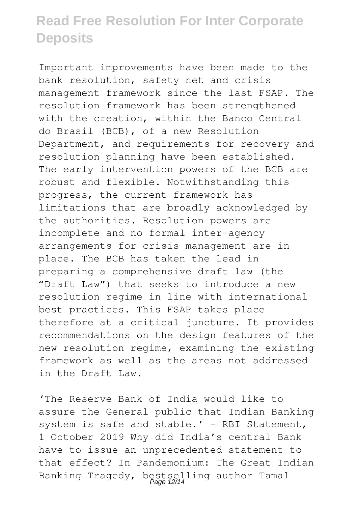Important improvements have been made to the bank resolution, safety net and crisis management framework since the last FSAP. The resolution framework has been strengthened with the creation, within the Banco Central do Brasil (BCB), of a new Resolution Department, and requirements for recovery and resolution planning have been established. The early intervention powers of the BCB are robust and flexible. Notwithstanding this progress, the current framework has limitations that are broadly acknowledged by the authorities. Resolution powers are incomplete and no formal inter-agency arrangements for crisis management are in place. The BCB has taken the lead in preparing a comprehensive draft law (the "Draft Law") that seeks to introduce a new resolution regime in line with international best practices. This FSAP takes place therefore at a critical juncture. It provides recommendations on the design features of the new resolution regime, examining the existing framework as well as the areas not addressed in the Draft Law.

'The Reserve Bank of India would like to assure the General public that Indian Banking system is safe and stable.' – RBI Statement, 1 October 2019 Why did India's central Bank have to issue an unprecedented statement to that effect? In Pandemonium: The Great Indian Banking Tragedy, bestselling author Tamal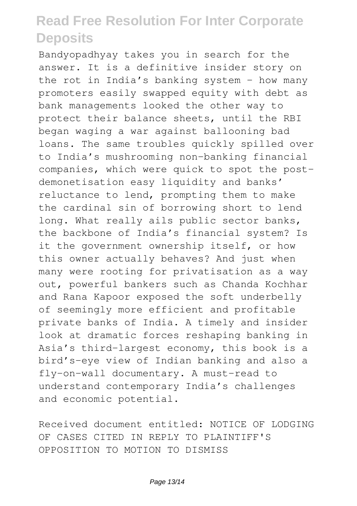Bandyopadhyay takes you in search for the answer. It is a definitive insider story on the rot in India's banking system – how many promoters easily swapped equity with debt as bank managements looked the other way to protect their balance sheets, until the RBI began waging a war against ballooning bad loans. The same troubles quickly spilled over to India's mushrooming non-banking financial companies, which were quick to spot the postdemonetisation easy liquidity and banks' reluctance to lend, prompting them to make the cardinal sin of borrowing short to lend long. What really ails public sector banks, the backbone of India's financial system? Is it the government ownership itself, or how this owner actually behaves? And just when many were rooting for privatisation as a way out, powerful bankers such as Chanda Kochhar and Rana Kapoor exposed the soft underbelly of seemingly more efficient and profitable private banks of India. A timely and insider look at dramatic forces reshaping banking in Asia's third-largest economy, this book is a bird's-eye view of Indian banking and also a fly-on-wall documentary. A must-read to understand contemporary India's challenges and economic potential.

Received document entitled: NOTICE OF LODGING OF CASES CITED IN REPLY TO PLAINTIFF'S OPPOSITION TO MOTION TO DISMISS